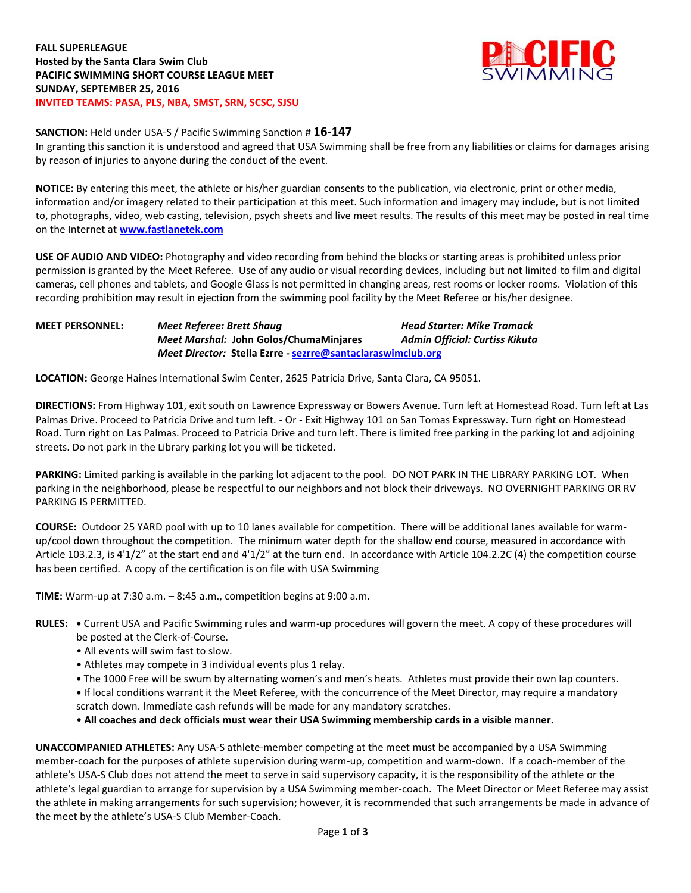

## **SANCTION:** Held under USA-S / Pacific Swimming Sanction # **16-147**

In granting this sanction it is understood and agreed that USA Swimming shall be free from any liabilities or claims for damages arising by reason of injuries to anyone during the conduct of the event.

**NOTICE:** By entering this meet, the athlete or his/her guardian consents to the publication, via electronic, print or other media, information and/or imagery related to their participation at this meet. Such information and imagery may include, but is not limited to, photographs, video, web casting, television, psych sheets and live meet results. The results of this meet may be posted in real time on the Internet at **[www.fastlanetek.com](http://www.fastlanetek.com/)**

**USE OF AUDIO AND VIDEO:** Photography and video recording from behind the blocks or starting areas is prohibited unless prior permission is granted by the Meet Referee. Use of any audio or visual recording devices, including but not limited to film and digital cameras, cell phones and tablets, and Google Glass is not permitted in changing areas, rest rooms or locker rooms. Violation of this recording prohibition may result in ejection from the swimming pool facility by the Meet Referee or his/her designee.

**MEET PERSONNEL:** *Meet Referee: Brett Shaug Head Starter: Mike Tramack Meet Marshal:* **John Golos/ChumaMinjares** *Admin Official: Curtiss Kikuta Meet Director:* **Stella Ezrre - [sezrre@santaclaraswimclub.org](mailto:sezrre@santaclaraswimclub.org)**

**LOCATION:** George Haines International Swim Center, 2625 Patricia Drive, Santa Clara, CA 95051.

**DIRECTIONS:** From Highway 101, exit south on Lawrence Expressway or Bowers Avenue. Turn left at Homestead Road. Turn left at Las Palmas Drive. Proceed to Patricia Drive and turn left. - Or - Exit Highway 101 on San Tomas Expressway. Turn right on Homestead Road. Turn right on Las Palmas. Proceed to Patricia Drive and turn left. There is limited free parking in the parking lot and adjoining streets. Do not park in the Library parking lot you will be ticketed.

**PARKING:** Limited parking is available in the parking lot adjacent to the pool. DO NOT PARK IN THE LIBRARY PARKING LOT. When parking in the neighborhood, please be respectful to our neighbors and not block their driveways. NO OVERNIGHT PARKING OR RV PARKING IS PERMITTED.

**COURSE:** Outdoor 25 YARD pool with up to 10 lanes available for competition. There will be additional lanes available for warmup/cool down throughout the competition. The minimum water depth for the shallow end course, measured in accordance with Article 103.2.3, is 4'1/2" at the start end and 4'1/2" at the turn end. In accordance with Article 104.2.2C (4) the competition course has been certified. A copy of the certification is on file with USA Swimming

**TIME:** Warm-up at 7:30 a.m. – 8:45 a.m., competition begins at 9:00 a.m.

- **RULES: •** Current USA and Pacific Swimming rules and warm-up procedures will govern the meet. A copy of these procedures will be posted at the Clerk-of-Course.
	- All events will swim fast to slow.
	- Athletes may compete in 3 individual events plus 1 relay.
	- **•** The 1000 Free will be swum by alternating women's and men's heats. Athletes must provide their own lap counters.
	- **•** If local conditions warrant it the Meet Referee, with the concurrence of the Meet Director, may require a mandatory scratch down. Immediate cash refunds will be made for any mandatory scratches.

• **All coaches and deck officials must wear their USA Swimming membership cards in a visible manner.** 

**UNACCOMPANIED ATHLETES:** Any USA-S athlete-member competing at the meet must be accompanied by a USA Swimming member-coach for the purposes of athlete supervision during warm-up, competition and warm-down. If a coach-member of the athlete's USA-S Club does not attend the meet to serve in said supervisory capacity, it is the responsibility of the athlete or the athlete's legal guardian to arrange for supervision by a USA Swimming member-coach. The Meet Director or Meet Referee may assist the athlete in making arrangements for such supervision; however, it is recommended that such arrangements be made in advance of the meet by the athlete's USA-S Club Member-Coach.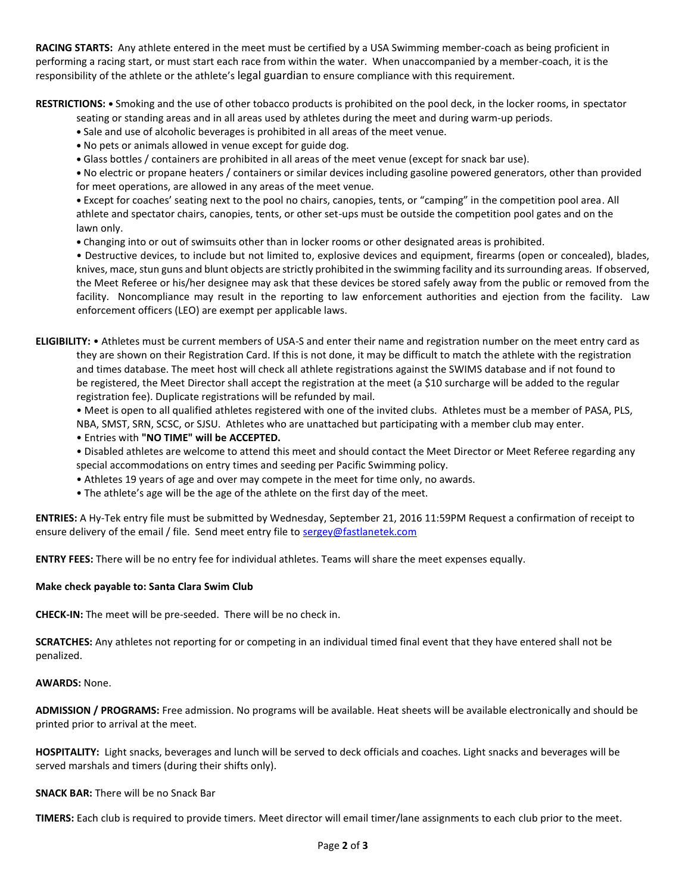**RACING STARTS:** Any athlete entered in the meet must be certified by a USA Swimming member-coach as being proficient in performing a racing start, or must start each race from within the water. When unaccompanied by a member-coach, it is the responsibility of the athlete or the athlete's legal guardian to ensure compliance with this requirement.

**RESTRICTIONS: •** Smoking and the use of other tobacco products is prohibited on the pool deck, in the locker rooms, in spectator

seating or standing areas and in all areas used by athletes during the meet and during warm-up periods.

- **•** Sale and use of alcoholic beverages is prohibited in all areas of the meet venue.
- **•** No pets or animals allowed in venue except for guide dog.
- **•** Glass bottles / containers are prohibited in all areas of the meet venue (except for snack bar use).

**•** No electric or propane heaters / containers or similar devices including gasoline powered generators, other than provided for meet operations, are allowed in any areas of the meet venue.

**•** Except for coaches' seating next to the pool no chairs, canopies, tents, or "camping" in the competition pool area. All athlete and spectator chairs, canopies, tents, or other set-ups must be outside the competition pool gates and on the lawn only.

**•** Changing into or out of swimsuits other than in locker rooms or other designated areas is prohibited.

• Destructive devices, to include but not limited to, explosive devices and equipment, firearms (open or concealed), blades, knives, mace, stun guns and blunt objects are strictly prohibited in the swimming facility and its surrounding areas. If observed, the Meet Referee or his/her designee may ask that these devices be stored safely away from the public or removed from the facility. Noncompliance may result in the reporting to law enforcement authorities and ejection from the facility. Law enforcement officers (LEO) are exempt per applicable laws.

**ELIGIBILITY:** • Athletes must be current members of USA-S and enter their name and registration number on the meet entry card as they are shown on their Registration Card. If this is not done, it may be difficult to match the athlete with the registration and times database. The meet host will check all athlete registrations against the SWIMS database and if not found to be registered, the Meet Director shall accept the registration at the meet (a \$10 surcharge will be added to the regular registration fee). Duplicate registrations will be refunded by mail.

• Meet is open to all qualified athletes registered with one of the invited clubs. Athletes must be a member of PASA, PLS, NBA, SMST, SRN, SCSC, or SJSU. Athletes who are unattached but participating with a member club may enter. • Entries with **"NO TIME" will be ACCEPTED.**

- Disabled athletes are welcome to attend this meet and should contact the Meet Director or Meet Referee regarding any special accommodations on entry times and seeding per Pacific Swimming policy.
- Athletes 19 years of age and over may compete in the meet for time only, no awards.
- The athlete's age will be the age of the athlete on the first day of the meet.

**ENTRIES:** A Hy-Tek entry file must be submitted by Wednesday, September 21, 2016 11:59PM Request a confirmation of receipt to ensure delivery of the email / file. Send meet entry file t[o sergey@fastlanetek.com](mailto:sergey@fastlanetek.com)

**ENTRY FEES:** There will be no entry fee for individual athletes. Teams will share the meet expenses equally.

## **Make check payable to: Santa Clara Swim Club**

**CHECK-IN:** The meet will be pre-seeded. There will be no check in.

**SCRATCHES:** Any athletes not reporting for or competing in an individual timed final event that they have entered shall not be penalized.

## **AWARDS:** None.

**ADMISSION / PROGRAMS:** Free admission. No programs will be available. Heat sheets will be available electronically and should be printed prior to arrival at the meet.

**HOSPITALITY:** Light snacks, beverages and lunch will be served to deck officials and coaches. Light snacks and beverages will be served marshals and timers (during their shifts only).

## **SNACK BAR:** There will be no Snack Bar

**TIMERS:** Each club is required to provide timers. Meet director will email timer/lane assignments to each club prior to the meet.